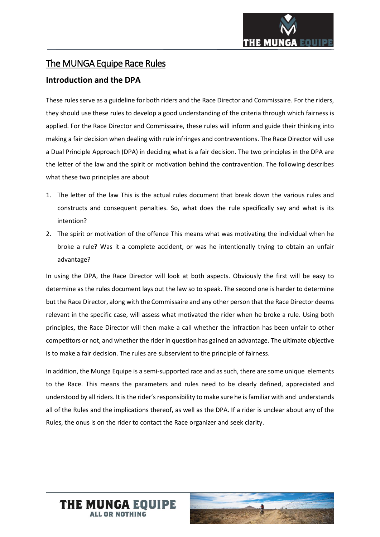# The MUNGA Equipe Race Rules

## **Introduction and the DPA**

These rules serve as a guideline for both riders and the Race Director and Commissaire. For the riders, they should use these rules to develop a good understanding of the criteria through which fairness is applied. For the Race Director and Commissaire, these rules will inform and guide their thinking into making a fair decision when dealing with rule infringes and contraventions. The Race Director will use a Dual Principle Approach (DPA) in deciding what is a fair decision. The two principles in the DPA are the letter of the law and the spirit or motivation behind the contravention. The following describes what these two principles are about

- 1. The letter of the law This is the actual rules document that break down the various rules and constructs and consequent penalties. So, what does the rule specifically say and what is its intention?
- 2. The spirit or motivation of the offence This means what was motivating the individual when he broke a rule? Was it a complete accident, or was he intentionally trying to obtain an unfair advantage?

In using the DPA, the Race Director will look at both aspects. Obviously the first will be easy to determine as the rules document lays out the law so to speak. The second one is harder to determine but the Race Director, along with the Commissaire and any other person that the Race Director deems relevant in the specific case, will assess what motivated the rider when he broke a rule. Using both principles, the Race Director will then make a call whether the infraction has been unfair to other competitors or not, and whether the rider in question has gained an advantage. The ultimate objective is to make a fair decision. The rules are subservient to the principle of fairness.

In addition, the Munga Equipe is a semi-supported race and as such, there are some unique elements to the Race. This means the parameters and rules need to be clearly defined, appreciated and understood by all riders. It is the rider's responsibility to make sure he isfamiliar with and understands all of the Rules and the implications thereof, as well as the DPA. If a rider is unclear about any of the Rules, the onus is on the rider to contact the Race organizer and seek clarity.



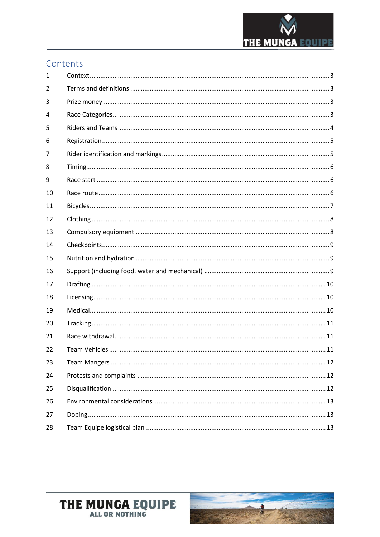

# Contents

| 1  |  |
|----|--|
| 2  |  |
| 3  |  |
| 4  |  |
| 5  |  |
| 6  |  |
| 7  |  |
| 8  |  |
| 9  |  |
| 10 |  |
| 11 |  |
| 12 |  |
| 13 |  |
| 14 |  |
|    |  |
| 15 |  |
| 16 |  |
| 17 |  |
| 18 |  |
| 19 |  |
| 20 |  |
| 21 |  |
| 22 |  |
| 23 |  |
| 24 |  |
| 25 |  |
| 26 |  |
| 27 |  |

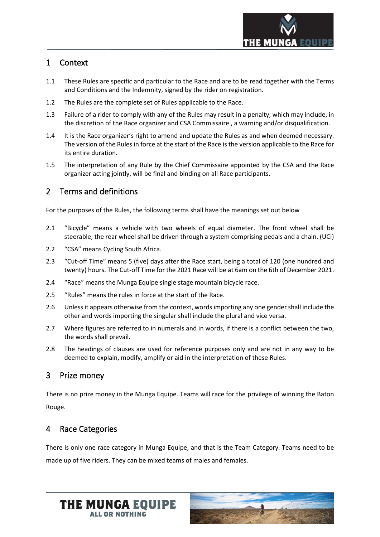

## <span id="page-2-0"></span>1 Context

- 1.1 These Rules are specific and particular to the Race and are to be read together with the Terms and Conditions and the Indemnity, signed by the rider on registration.
- 1.2 The Rules are the complete set of Rules applicable to the Race.
- 1.3 Failure of a rider to comply with any of the Rules may result in a penalty, which may include, in the discretion of the Race organizer and CSA Commissaire , a warning and/or disqualification.
- 1.4 It is the Race organizer's right to amend and update the Rules as and when deemed necessary. The version of the Rules in force at the start of the Race is the version applicable to the Race for its entire duration.
- 1.5 The interpretation of any Rule by the Chief Commissaire appointed by the CSA and the Race organizer acting jointly, will be final and binding on all Race participants.

## <span id="page-2-1"></span>2 Terms and definitions

For the purposes of the Rules, the following terms shall have the meanings set out below

- 2.1 "Bicycle" means a vehicle with two wheels of equal diameter. The front wheel shall be steerable; the rear wheel shall be driven through a system comprising pedals and a chain. (UCI)
- 2.2 "CSA" means Cycling South Africa.
- 2.3 "Cut-off Time" means 5 (five) days after the Race start, being a total of 120 (one hundred and twenty) hours. The Cut-off Time for the 2021 Race will be at 6am on the 6th of December 2021.
- 2.4 "Race" means the Munga Equipe single stage mountain bicycle race.
- 2.5 "Rules" means the rules in force at the start of the Race.
- 2.6 Unless it appears otherwise from the context, words importing any one gender shall include the other and words importing the singular shall include the plural and vice versa.
- 2.7 Where figures are referred to in numerals and in words, if there is a conflict between the two, the words shall prevail.
- 2.8 The headings of clauses are used for reference purposes only and are not in any way to be deemed to explain, modify, amplify or aid in the interpretation of these Rules.

#### <span id="page-2-2"></span>3 Prize money

There is no prize money in the Munga Equipe. Teams will race for the privilege of winning the Baton Rouge.

## <span id="page-2-3"></span>4 Race Categories

There is only one race category in Munga Equipe, and that is the Team Category. Teams need to be made up of five riders. They can be mixed teams of males and females.



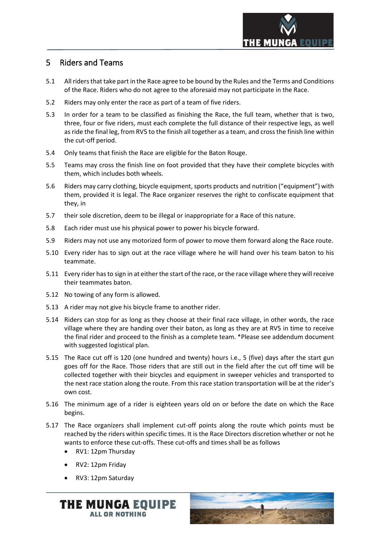

### <span id="page-3-0"></span>5 Riders and Teams

- 5.1 All riders that take part in the Race agree to be bound by the Rules and the Terms and Conditions of the Race. Riders who do not agree to the aforesaid may not participate in the Race.
- 5.2 Riders may only enter the race as part of a team of five riders.
- 5.3 In order for a team to be classified as finishing the Race, the full team, whether that is two, three, four or five riders, must each complete the full distance of their respective legs, as well as ride the final leg, from RV5 to the finish all together as a team, and cross the finish line within the cut-off period.
- 5.4 Only teams that finish the Race are eligible for the Baton Rouge.
- 5.5 Teams may cross the finish line on foot provided that they have their complete bicycles with them, which includes both wheels.
- 5.6 Riders may carry clothing, bicycle equipment, sports products and nutrition ("equipment") with them, provided it is legal. The Race organizer reserves the right to confiscate equipment that they, in
- 5.7 their sole discretion, deem to be illegal or inappropriate for a Race of this nature.
- 5.8 Each rider must use his physical power to power his bicycle forward.
- 5.9 Riders may not use any motorized form of power to move them forward along the Race route.
- 5.10 Every rider has to sign out at the race village where he will hand over his team baton to his teammate.
- 5.11 Every rider has to sign in at either the start of the race, or the race village where they will receive their teammates baton.
- 5.12 No towing of any form is allowed.
- 5.13 A rider may not give his bicycle frame to another rider.
- 5.14 Riders can stop for as long as they choose at their final race village, in other words, the race village where they are handing over their baton, as long as they are at RV5 in time to receive the final rider and proceed to the finish as a complete team. \*Please see addendum document with suggested logistical plan.
- 5.15 The Race cut off is 120 (one hundred and twenty) hours i.e., 5 (five) days after the start gun goes off for the Race. Those riders that are still out in the field after the cut off time will be collected together with their bicycles and equipment in sweeper vehicles and transported to the next race station along the route. From this race station transportation will be at the rider's own cost.
- 5.16 The minimum age of a rider is eighteen years old on or before the date on which the Race begins.
- 5.17 The Race organizers shall implement cut-off points along the route which points must be reached by the riders within specific times. It is the Race Directors discretion whether or not he wants to enforce these cut-offs. These cut-offs and times shall be as follows
	- RV1: 12pm Thursday
	- RV2: 12pm Friday
	- RV3: 12pm Saturday



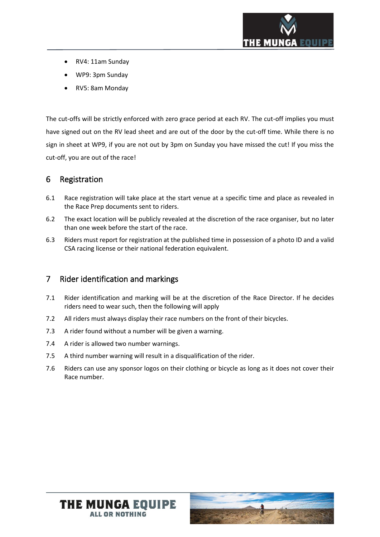

- RV4: 11am Sunday
- WP9: 3pm Sunday
- RV5: 8am Monday

The cut-offs will be strictly enforced with zero grace period at each RV. The cut-off implies you must have signed out on the RV lead sheet and are out of the door by the cut-off time. While there is no sign in sheet at WP9, if you are not out by 3pm on Sunday you have missed the cut! If you miss the cut-off, you are out of the race!

#### <span id="page-4-0"></span>6 Registration

- 6.1 Race registration will take place at the start venue at a specific time and place as revealed in the Race Prep documents sent to riders.
- 6.2 The exact location will be publicly revealed at the discretion of the race organiser, but no later than one week before the start of the race.
- 6.3 Riders must report for registration at the published time in possession of a photo ID and a valid CSA racing license or their national federation equivalent.

## <span id="page-4-1"></span>7 Rider identification and markings

- 7.1 Rider identification and marking will be at the discretion of the Race Director. If he decides riders need to wear such, then the following will apply
- 7.2 All riders must always display their race numbers on the front of their bicycles.
- 7.3 A rider found without a number will be given a warning.
- 7.4 A rider is allowed two number warnings.
- 7.5 A third number warning will result in a disqualification of the rider.
- 7.6 Riders can use any sponsor logos on their clothing or bicycle as long as it does not cover their Race number.



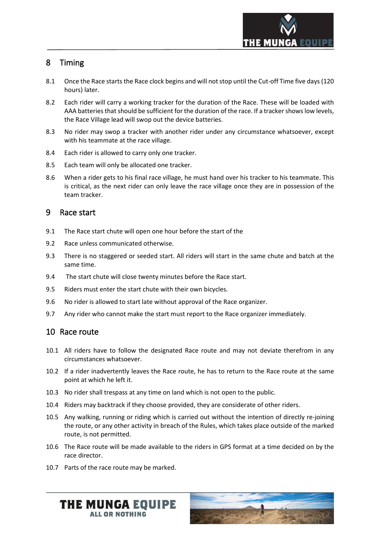

## <span id="page-5-0"></span>8 Timing

- 8.1 Once the Race starts the Race clock begins and will not stop until the Cut-off Time five days (120 hours) later.
- 8.2 Each rider will carry a working tracker for the duration of the Race. These will be loaded with AAA batteries that should be sufficient for the duration of the race. If a tracker shows low levels, the Race Village lead will swop out the device batteries.
- 8.3 No rider may swop a tracker with another rider under any circumstance whatsoever, except with his teammate at the race village.
- 8.4 Each rider is allowed to carry only one tracker.
- 8.5 Each team will only be allocated one tracker.
- 8.6 When a rider gets to his final race village, he must hand over his tracker to his teammate. This is critical, as the next rider can only leave the race village once they are in possession of the team tracker.

### <span id="page-5-1"></span>9 Race start

- 9.1 The Race start chute will open one hour before the start of the
- 9.2 Race unless communicated otherwise.
- 9.3 There is no staggered or seeded start. All riders will start in the same chute and batch at the same time.
- 9.4 The start chute will close twenty minutes before the Race start.
- 9.5 Riders must enter the start chute with their own bicycles.
- 9.6 No rider is allowed to start late without approval of the Race organizer.
- <span id="page-5-2"></span>9.7 Any rider who cannot make the start must report to the Race organizer immediately.

## 10 Race route

- 10.1 All riders have to follow the designated Race route and may not deviate therefrom in any circumstances whatsoever.
- 10.2 If a rider inadvertently leaves the Race route, he has to return to the Race route at the same point at which he left it.
- 10.3 No rider shall trespass at any time on land which is not open to the public.
- 10.4 Riders may backtrack if they choose provided, they are considerate of other riders.
- 10.5 Any walking, running or riding which is carried out without the intention of directly re-joining the route, or any other activity in breach of the Rules, which takes place outside of the marked route, is not permitted.
- 10.6 The Race route will be made available to the riders in GPS format at a time decided on by the race director.
- 10.7 Parts of the race route may be marked.



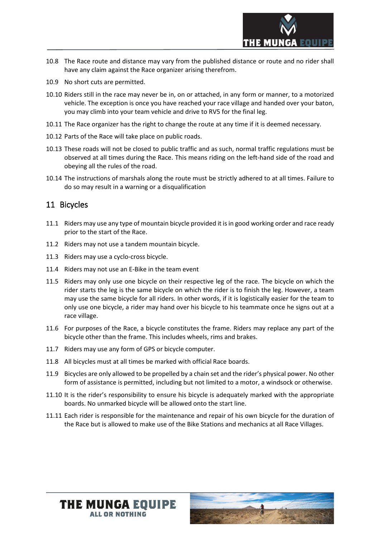

- 10.8 The Race route and distance may vary from the published distance or route and no rider shall have any claim against the Race organizer arising therefrom.
- 10.9 No short cuts are permitted.
- 10.10 Riders still in the race may never be in, on or attached, in any form or manner, to a motorized vehicle. The exception is once you have reached your race village and handed over your baton, you may climb into your team vehicle and drive to RV5 for the final leg.
- 10.11 The Race organizer has the right to change the route at any time if it is deemed necessary.
- 10.12 Parts of the Race will take place on public roads.
- 10.13 These roads will not be closed to public traffic and as such, normal traffic regulations must be observed at all times during the Race. This means riding on the left-hand side of the road and obeying all the rules of the road.
- 10.14 The instructions of marshals along the route must be strictly adhered to at all times. Failure to do so may result in a warning or a disqualification

### <span id="page-6-0"></span>11 Bicycles

- 11.1 Riders may use any type of mountain bicycle provided it is in good working order and race ready prior to the start of the Race.
- 11.2 Riders may not use a tandem mountain bicycle.
- 11.3 Riders may use a cyclo-cross bicycle.
- 11.4 Riders may not use an E-Bike in the team event
- 11.5 Riders may only use one bicycle on their respective leg of the race. The bicycle on which the rider starts the leg is the same bicycle on which the rider is to finish the leg. However, a team may use the same bicycle for all riders. In other words, if it is logistically easier for the team to only use one bicycle, a rider may hand over his bicycle to his teammate once he signs out at a race village.
- 11.6 For purposes of the Race, a bicycle constitutes the frame. Riders may replace any part of the bicycle other than the frame. This includes wheels, rims and brakes.
- 11.7 Riders may use any form of GPS or bicycle computer.
- 11.8 All bicycles must at all times be marked with official Race boards.
- 11.9 Bicycles are only allowed to be propelled by a chain set and the rider's physical power. No other form of assistance is permitted, including but not limited to a motor, a windsock or otherwise.
- 11.10 It is the rider's responsibility to ensure his bicycle is adequately marked with the appropriate boards. No unmarked bicycle will be allowed onto the start line.
- 11.11 Each rider is responsible for the maintenance and repair of his own bicycle for the duration of the Race but is allowed to make use of the Bike Stations and mechanics at all Race Villages.

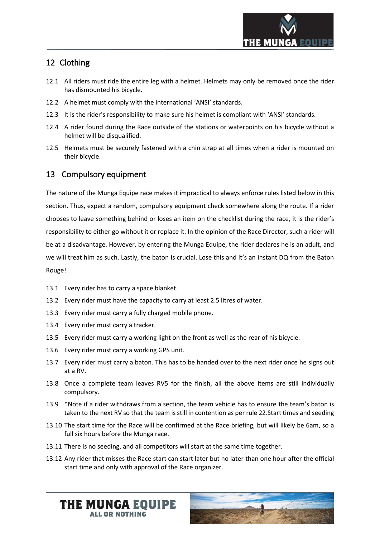

## <span id="page-7-0"></span>12 Clothing

- 12.1 All riders must ride the entire leg with a helmet. Helmets may only be removed once the rider has dismounted his bicycle.
- 12.2 A helmet must comply with the international 'ANSI' standards.
- 12.3 It is the rider's responsibility to make sure his helmet is compliant with 'ANSI' standards.
- 12.4 A rider found during the Race outside of the stations or waterpoints on his bicycle without a helmet will be disqualified.
- 12.5 Helmets must be securely fastened with a chin strap at all times when a rider is mounted on their bicycle.

## <span id="page-7-1"></span>13 Compulsory equipment

The nature of the Munga Equipe race makes it impractical to always enforce rules listed below in this section. Thus, expect a random, compulsory equipment check somewhere along the route. If a rider chooses to leave something behind or loses an item on the checklist during the race, it is the rider's responsibility to either go without it or replace it. In the opinion of the Race Director, such a rider will be at a disadvantage. However, by entering the Munga Equipe, the rider declares he is an adult, and we will treat him as such. Lastly, the baton is crucial. Lose this and it's an instant DQ from the Baton Rouge!

- 13.1 Every rider has to carry a space blanket.
- 13.2 Every rider must have the capacity to carry at least 2.5 litres of water.
- 13.3 Every rider must carry a fully charged mobile phone.
- 13.4 Every rider must carry a tracker.
- 13.5 Every rider must carry a working light on the front as well as the rear of his bicycle.
- 13.6 Every rider must carry a working GPS unit.
- 13.7 Every rider must carry a baton. This has to be handed over to the next rider once he signs out at a RV.
- 13.8 Once a complete team leaves RV5 for the finish, all the above items are still individually compulsory.
- 13.9 \*Note if a rider withdraws from a section, the team vehicle has to ensure the team's baton is taken to the next RV so that the team is still in contention as per rule 22.Start times and seeding
- 13.10 The start time for the Race will be confirmed at the Race briefing, but will likely be 6am, so a full six hours before the Munga race.
- 13.11 There is no seeding, and all competitors will start at the same time together.
- 13.12 Any rider that misses the Race start can start later but no later than one hour after the official start time and only with approval of the Race organizer.



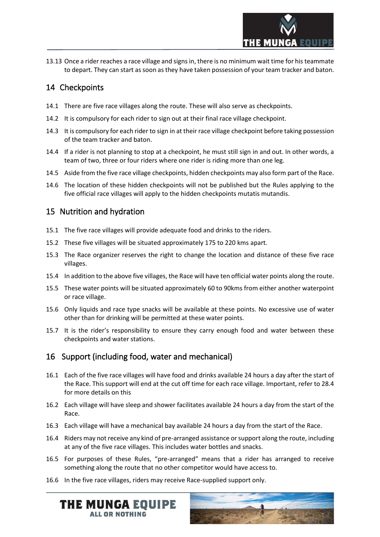

13.13 Once a rider reaches a race village and signs in, there is no minimum wait time for his teammate to depart. They can start as soon as they have taken possession of your team tracker and baton.

## <span id="page-8-0"></span>14 Checkpoints

- 14.1 There are five race villages along the route. These will also serve as checkpoints.
- 14.2 It is compulsory for each rider to sign out at their final race village checkpoint.
- 14.3 It is compulsory for each rider to sign in at their race village checkpoint before taking possession of the team tracker and baton.
- 14.4 If a rider is not planning to stop at a checkpoint, he must still sign in and out. In other words, a team of two, three or four riders where one rider is riding more than one leg.
- 14.5 Aside from the five race village checkpoints, hidden checkpoints may also form part of the Race.
- 14.6 The location of these hidden checkpoints will not be published but the Rules applying to the five official race villages will apply to the hidden checkpoints mutatis mutandis.

## <span id="page-8-1"></span>15 Nutrition and hydration

- 15.1 The five race villages will provide adequate food and drinks to the riders.
- 15.2 These five villages will be situated approximately 175 to 220 kms apart.
- 15.3 The Race organizer reserves the right to change the location and distance of these five race villages.
- 15.4 In addition to the above five villages, the Race will have ten official water points along the route.
- 15.5 These water points will be situated approximately 60 to 90kms from either another waterpoint or race village.
- 15.6 Only liquids and race type snacks will be available at these points. No excessive use of water other than for drinking will be permitted at these water points.
- 15.7 It is the rider's responsibility to ensure they carry enough food and water between these checkpoints and water stations.

## <span id="page-8-2"></span>16 Support (including food, water and mechanical)

- 16.1 Each of the five race villages will have food and drinks available 24 hours a day after the start of the Race. This support will end at the cut off time for each race village. Important, refer to 28.4 for more details on this
- 16.2 Each village will have sleep and shower facilitates available 24 hours a day from the start of the Race.
- 16.3 Each village will have a mechanical bay available 24 hours a day from the start of the Race.
- 16.4 Riders may not receive any kind of pre-arranged assistance orsupport along the route, including at any of the five race villages. This includes water bottles and snacks.
- 16.5 For purposes of these Rules, "pre-arranged" means that a rider has arranged to receive something along the route that no other competitor would have access to.
- 16.6 In the five race villages, riders may receive Race-supplied support only.

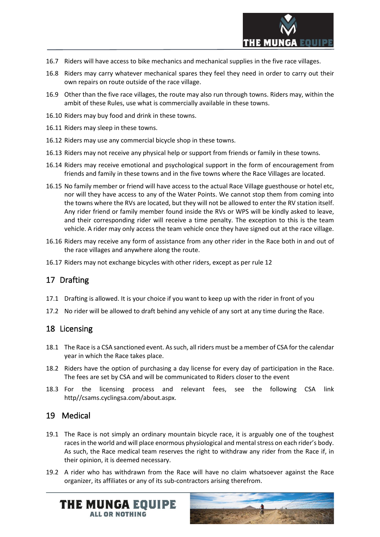

- 16.7 Riders will have access to bike mechanics and mechanical supplies in the five race villages.
- 16.8 Riders may carry whatever mechanical spares they feel they need in order to carry out their own repairs on route outside of the race village.
- 16.9 Other than the five race villages, the route may also run through towns. Riders may, within the ambit of these Rules, use what is commercially available in these towns.
- 16.10 Riders may buy food and drink in these towns.
- 16.11 Riders may sleep in these towns.
- 16.12 Riders may use any commercial bicycle shop in these towns.
- 16.13 Riders may not receive any physical help or support from friends or family in these towns.
- 16.14 Riders may receive emotional and psychological support in the form of encouragement from friends and family in these towns and in the five towns where the Race Villages are located.
- 16.15 No family member or friend will have access to the actual Race Village guesthouse or hotel etc, nor will they have access to any of the Water Points. We cannot stop them from coming into the towns where the RVs are located, but they will not be allowed to enter the RV station itself. Any rider friend or family member found inside the RVs or WPS will be kindly asked to leave, and their corresponding rider will receive a time penalty. The exception to this is the team vehicle. A rider may only access the team vehicle once they have signed out at the race village.
- 16.16 Riders may receive any form of assistance from any other rider in the Race both in and out of the race villages and anywhere along the route.
- <span id="page-9-0"></span>16.17 Riders may not exchange bicycles with other riders, except as per rule 12

## 17 Drafting

- 17.1 Drafting is allowed. It is your choice if you want to keep up with the rider in front of you
- <span id="page-9-1"></span>17.2 No rider will be allowed to draft behind any vehicle of any sort at any time during the Race.

## 18 Licensing

- 18.1 The Race is a CSA sanctioned event. As such, all riders must be a member of CSA for the calendar year in which the Race takes place.
- 18.2 Riders have the option of purchasing a day license for every day of participation in the Race. The fees are set by CSA and will be communicated to Riders closer to the event
- 18.3 For the licensing process and relevant fees, see the following CSA link http//csams.cyclingsa.com/about.aspx.

## <span id="page-9-2"></span>19 Medical

- 19.1 The Race is not simply an ordinary mountain bicycle race, it is arguably one of the toughest races in the world and will place enormous physiological and mental stress on each rider's body. As such, the Race medical team reserves the right to withdraw any rider from the Race if, in their opinion, it is deemed necessary.
- 19.2 A rider who has withdrawn from the Race will have no claim whatsoever against the Race organizer, its affiliates or any of its sub-contractors arising therefrom.

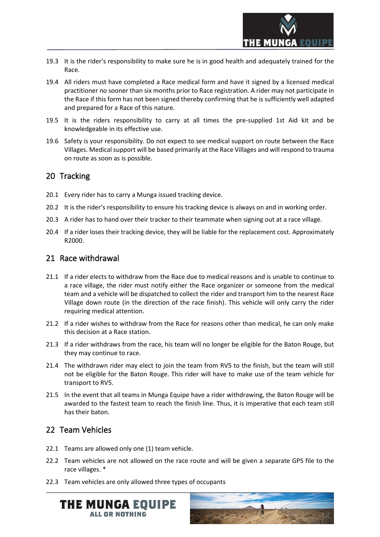

- 19.3 It is the rider's responsibility to make sure he is in good health and adequately trained for the Race.
- 19.4 All riders must have completed a Race medical form and have it signed by a licensed medical practitioner no sooner than six months prior to Race registration. A rider may not participate in the Race if this form has not been signed thereby confirming that he is sufficiently well adapted and prepared for a Race of this nature.
- 19.5 It is the riders responsibility to carry at all times the pre-supplied 1st Aid kit and be knowledgeable in its effective use.
- 19.6 Safety is your responsibility. Do not expect to see medical support on route between the Race Villages. Medical support will be based primarily at the Race Villages and will respond to trauma on route as soon as is possible.

### <span id="page-10-0"></span>20 Tracking

- 20.1 Every rider has to carry a Munga issued tracking device.
- 20.2 It is the rider's responsibility to ensure his tracking device is always on and in working order.
- 20.3 A rider has to hand over their tracker to their teammate when signing out at a race village.
- 20.4 If a rider loses their tracking device, they will be liable for the replacement cost. Approximately R2000.

### <span id="page-10-1"></span>21 Race withdrawal

- 21.1 If a rider elects to withdraw from the Race due to medical reasons and is unable to continue to a race village, the rider must notify either the Race organizer or someone from the medical team and a vehicle will be dispatched to collect the rider and transport him to the nearest Race Village down route (in the direction of the race finish). This vehicle will only carry the rider requiring medical attention.
- 21.2 If a rider wishes to withdraw from the Race for reasons other than medical, he can only make this decision at a Race station.
- 21.3 If a rider withdraws from the race, his team will no longer be eligible for the Baton Rouge, but they may continue to race.
- 21.4 The withdrawn rider may elect to join the team from RV5 to the finish, but the team will still not be eligible for the Baton Rouge. This rider will have to make use of the team vehicle for transport to RV5.
- 21.5 In the event that all teams in Munga Equipe have a rider withdrawing, the Baton Rouge will be awarded to the fastest team to reach the finish line. Thus, it is imperative that each team still has their baton.

## <span id="page-10-2"></span>22 Team Vehicles

- 22.1 Teams are allowed only one (1) team vehicle.
- 22.2 Team vehicles are not allowed on the race route and will be given a separate GPS file to the race villages. \*
- 22.3 Team vehicles are only allowed three types of occupants



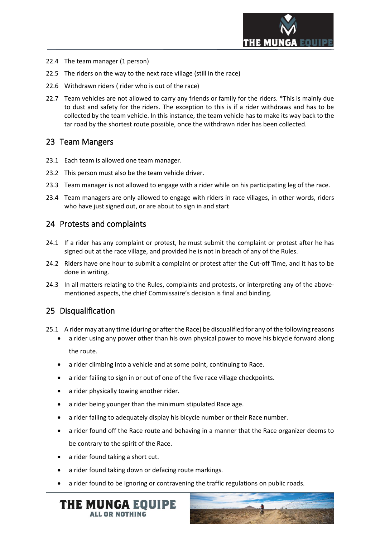

- 22.4 The team manager (1 person)
- 22.5 The riders on the way to the next race village (still in the race)
- 22.6 Withdrawn riders ( rider who is out of the race)
- 22.7 Team vehicles are not allowed to carry any friends or family for the riders. \*This is mainly due to dust and safety for the riders. The exception to this is if a rider withdraws and has to be collected by the team vehicle. In this instance, the team vehicle has to make its way back to the tar road by the shortest route possible, once the withdrawn rider has been collected.

## <span id="page-11-0"></span>23 Team Mangers

- 23.1 Each team is allowed one team manager.
- 23.2 This person must also be the team vehicle driver.
- 23.3 Team manager is not allowed to engage with a rider while on his participating leg of the race.
- 23.4 Team managers are only allowed to engage with riders in race villages, in other words, riders who have just signed out, or are about to sign in and start

### <span id="page-11-1"></span>24 Protests and complaints

- 24.1 If a rider has any complaint or protest, he must submit the complaint or protest after he has signed out at the race village, and provided he is not in breach of any of the Rules.
- 24.2 Riders have one hour to submit a complaint or protest after the Cut-off Time, and it has to be done in writing.
- 24.3 In all matters relating to the Rules, complaints and protests, or interpreting any of the abovementioned aspects, the chief Commissaire's decision is final and binding.

## <span id="page-11-2"></span>25 Disqualification

- 25.1 A rider may at any time (during or after the Race) be disqualified for any of the following reasons
	- a rider using any power other than his own physical power to move his bicycle forward along the route.
	- a rider climbing into a vehicle and at some point, continuing to Race.
	- a rider failing to sign in or out of one of the five race village checkpoints.
	- a rider physically towing another rider.
	- a rider being younger than the minimum stipulated Race age.
	- a rider failing to adequately display his bicycle number or their Race number.
	- a rider found off the Race route and behaving in a manner that the Race organizer deems to be contrary to the spirit of the Race.
	- a rider found taking a short cut.
	- a rider found taking down or defacing route markings.
	- a rider found to be ignoring or contravening the traffic regulations on public roads.



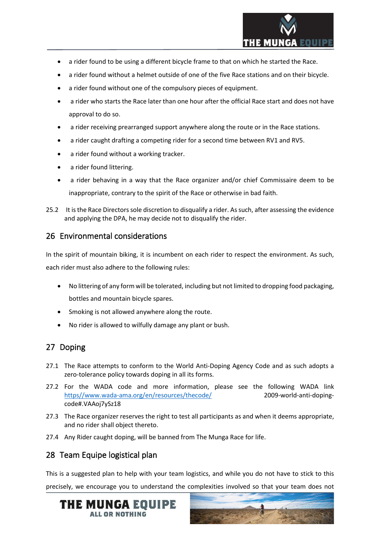

- a rider found to be using a different bicycle frame to that on which he started the Race.
- a rider found without a helmet outside of one of the five Race stations and on their bicycle.
- a rider found without one of the compulsory pieces of equipment.
- a rider who starts the Race later than one hour after the official Race start and does not have approval to do so.
- a rider receiving prearranged support anywhere along the route or in the Race stations.
- a rider caught drafting a competing rider for a second time between RV1 and RV5.
- a rider found without a working tracker.
- a rider found littering.
- a rider behaving in a way that the Race organizer and/or chief Commissaire deem to be inappropriate, contrary to the spirit of the Race or otherwise in bad faith.
- 25.2 It is the Race Directors sole discretion to disqualify a rider. As such, after assessing the evidence and applying the DPA, he may decide not to disqualify the rider.

#### <span id="page-12-0"></span>26 Environmental considerations

In the spirit of mountain biking, it is incumbent on each rider to respect the environment. As such, each rider must also adhere to the following rules:

- No littering of any form will be tolerated, including but not limited to dropping food packaging, bottles and mountain bicycle spares.
- Smoking is not allowed anywhere along the route.
- No rider is allowed to wilfully damage any plant or bush.

## <span id="page-12-1"></span>27 Doping

- 27.1 The Race attempts to conform to the World Anti-Doping Agency Code and as such adopts a zero-tolerance policy towards doping in all its forms.
- 27.2 For the WADA code and more information, please see the following WADA link [https//www.wada-ama.org/en/resources/thecode/](https://www.wada-ama.org/en/resources/thecode/) 2009-world-anti-dopingcode#.VAAoj7ySz18
- 27.3 The Race organizer reserves the right to test all participants as and when it deems appropriate, and no rider shall object thereto.
- <span id="page-12-2"></span>27.4 Any Rider caught doping, will be banned from The Munga Race for life.

## 28 Team Equipe logistical plan

This is a suggested plan to help with your team logistics, and while you do not have to stick to this precisely, we encourage you to understand the complexities involved so that your team does not